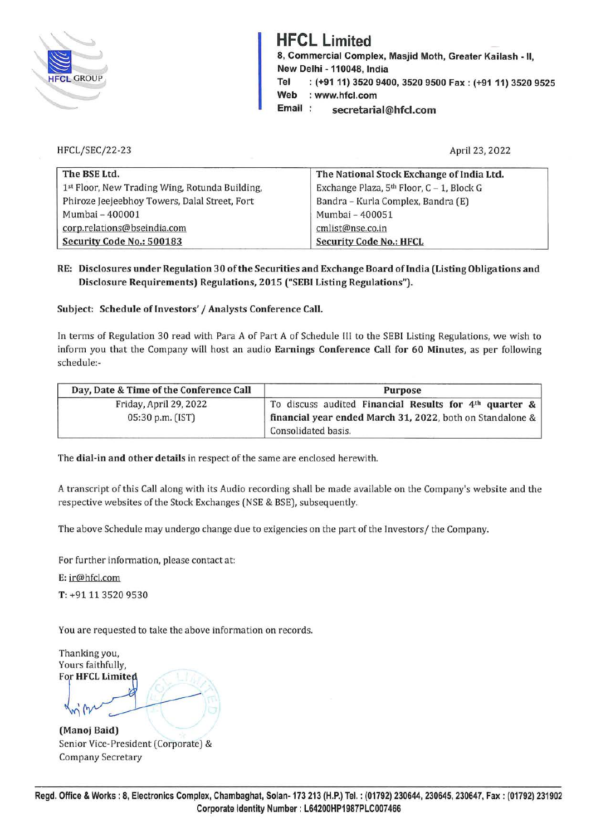

## **HFCL Limited**

**8, Commercial Complex, Masjid Moth, Greater Kailash** - II, **New Delhi -110048, India Tel** : **(+91 11) 3520 9400, 3520 9500 Fax: (+9111) 3520 9525 Web**  : **www.hfcl.com** 

**Email secretarial@hfcl.com** 

HFCL/SEC/22-23

April 23, 2022

| The BSE Ltd.                                   | The National Stock Exchange of India Ltd.             |
|------------------------------------------------|-------------------------------------------------------|
| 1st Floor, New Trading Wing, Rotunda Building, | Exchange Plaza, 5 <sup>th</sup> Floor, C - 1, Block G |
| Phiroze Jeejeebhoy Towers, Dalal Street, Fort  | Bandra - Kurla Complex, Bandra (E)                    |
| Mumbai - 400001                                | Mumbai - 400051                                       |
| corp.relations@bseindia.com                    | cmlist@nse.co.in                                      |
| Security Code No.: 500183                      | <b>Security Code No.: HFCL</b>                        |

**RE: Disclosures under Regulation 30 of the Securities and Exchange Board oflndia (Listing Obligations and Disclosure Requirements) Regulations, 2015 ("SEBI Listing Regulations").** 

**Subject: Schedule of Investors'/ Analysts Conference Call.** 

In terms of Regulation 30 read with Para A of Part A of Schedule Ill to the SEBI Listing Regulations, we wish to inform you that the Company will host an audio **Earnings Conference Call for 60 Minutes,** as per following schedule:-

| Day, Date & Time of the Conference Call | <b>Purpose</b>                                            |
|-----------------------------------------|-----------------------------------------------------------|
| Friday, April 29, 2022                  | To discuss audited Financial Results for $4th$ quarter &  |
| 05:30 p.m. (IST)                        | financial year ended March 31, 2022, both on Standalone & |
|                                         | Consolidated basis.                                       |

The **dial-in and other details** in respect of the same are enclosed herewith.

A transcript of this Call along with its Audio recording shall be made available on the Company's website and the respective websites of the Stock Exchanges (NSE & BSE), subsequently.

The above Schedule may undergo change due to exigencies on the part of the Investors/ the Company.

For further information, please contact at:

**E:** ir@hfcl.com

**T:** +91 11 3520 9530

You are requested to take the above information on records.

Thanking you, Yours faithfully,<br>**For HFCL Limited** 

**(Manoj Baid)**  Senior Vice-President (Corporate) & Company Secretary